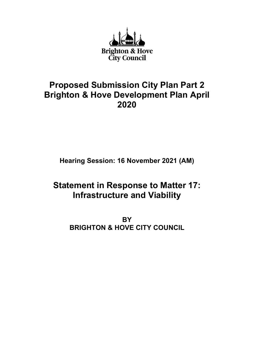

## **Proposed Submission City Plan Part 2 Brighton & Hove Development Plan April 2020**

**Hearing Session: 16 November 2021 (AM)**

# **Statement in Response to Matter 17: Infrastructure and Viability**

**BY BRIGHTON & HOVE CITY COUNCIL**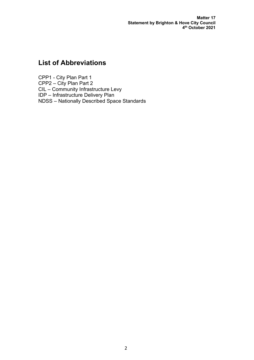**Matter 17 Statement by Brighton & Hove City Council 4th October 2021**

## **List of Abbreviations**

CPP1 - City Plan Part 1 CPP2 – City Plan Part 2 CIL – Community Infrastructure Levy IDP – Infrastructure Delivery Plan NDSS – Nationally Described Space Standards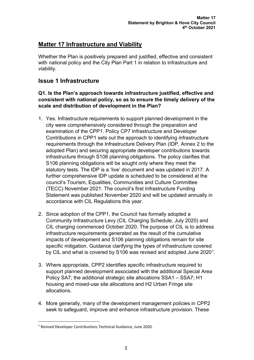## **Matter 17 Infrastructure and Viability**

Whether the Plan is positively prepared and justified, effective and consistent with national policy and the City Plan Part 1 in relation to infrastructure and viability.

### **Issue 1 Infrastructure**

#### **Q1. Is the Plan's approach towards infrastructure justified, effective and consistent with national policy, so as to ensure the timely delivery of the scale and distribution of development in the Plan?**

- 1. Yes. Infrastructure requirements to support planned development in the city were comprehensively considered through the preparation and examination of the CPP1. Policy CP7 Infrastructure and Developer Contributions in CPP1 sets out the approach to identifying infrastructure requirements through the Infrastructure Delivery Plan (IDP, Annex 2 to the adopted Plan) and securing appropriate developer contributions towards infrastructure through S106 planning obligations. The policy clarifies that S106 planning obligations will be sought only where they meet the statutory tests. The IDP is a 'live' document and was updated in 2017. A further comprehensive IDP update is scheduled to be considered at the council's Tourism, Equalities, Communities and Culture Committee (TECC) November 2021. The council's first Infrastructure Funding Statement was published November 2020 and will be updated annually in accordance with CIL Regulations this year.
- 2. Since adoption of the CPP1, the Council has formally adopted a Community Infrastructure Levy (CIL Charging Schedule, July 2020) and CIL charging commenced October 2020. The purpose of CIL is to address infrastructure requirements generated as the result of the cumulative impacts of development and S106 planning obligations remain for site specific mitigation. Guidance clarifying the types of infrastructure covered by CIL and what is covered by S[1](#page-2-0)06 was revised and adopted June 2020<sup>1</sup>.
- 3. Where appropriate, CPP2 identifies specific infrastructure required to support planned development associated with the additional Special Area Policy SA7; the additional strategic site allocations SSA1 – SSA7; H1 housing and mixed-use site allocations and H2 Urban Fringe site allocations.
- 4. More generally, many of the development management policies in CPP2 seek to safeguard, improve and enhance infrastructure provision. These

<span id="page-2-0"></span><sup>1</sup> Revised Developer Contributions Technical Guidance, June 2020.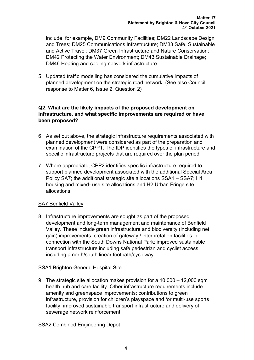include, for example, DM9 Community Facilities; DM22 Landscape Design and Trees; DM25 Communications Infrastructure; DM33 Safe, Sustainable and Active Travel; DM37 Green Infrastructure and Nature Conservation; DM42 Protecting the Water Environment; DM43 Sustainable Drainage; DM46 Heating and cooling network infrastructure.

5. Updated traffic modelling has considered the cumulative impacts of planned development on the strategic road network. (See also Council response to Matter 6, Issue 2, Question 2)

#### **Q2. What are the likely impacts of the proposed development on infrastructure, and what specific improvements are required or have been proposed?**

- 6. As set out above, the strategic infrastructure requirements associated with planned development were considered as part of the preparation and examination of the CPP1. The IDP identifies the types of infrastructure and specific infrastructure projects that are required over the plan period.
- 7. Where appropriate, CPP2 identifies specific infrastructure required to support planned development associated with the additional Special Area Policy SA7; the additional strategic site allocations SSA1 – SSA7; H1 housing and mixed- use site allocations and H2 Urban Fringe site allocations.

#### SA7 Benfield Valley

8. Infrastructure improvements are sought as part of the proposed development and long-term management and maintenance of Benfield Valley. These include green infrastructure and biodiversity (including net gain) improvements; creation of gateway / interpretation facilities in connection with the South Downs National Park; improved sustainable transport infrastructure including safe pedestrian and cyclist access including a north/south linear footpath/cycleway.

#### SSA1 Brighton General Hospital Site

9. The strategic site allocation makes provision for a 10,000 – 12,000 sqm health hub and care facility. Other infrastructure requirements include amenity and greenspace improvements; contributions to green infrastructure, provision for children's playspace and /or multi-use sports facility; improved sustainable transport infrastructure and delivery of sewerage network reinforcement.

#### SSA2 Combined Engineering Depot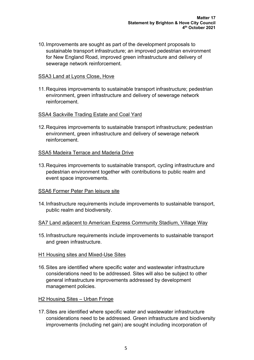10.Improvements are sought as part of the development proposals to sustainable transport infrastructure; an improved pedestrian environment for New England Road, improved green infrastructure and delivery of sewerage network reinforcement.

#### SSA3 Land at Lyons Close, Hove

11.Requires improvements to sustainable transport infrastructure; pedestrian environment, green infrastructure and delivery of sewerage network reinforcement.

#### SSA4 Sackville Trading Estate and Coal Yard

12.Requires improvements to sustainable transport infrastructure; pedestrian environment, green infrastructure and delivery of sewerage network reinforcement.

#### SSA5 Madeira Terrace and Maderia Drive

13.Requires improvements to sustainable transport, cycling infrastructure and pedestrian environment together with contributions to public realm and event space improvements.

#### SSA6 Former Peter Pan leisure site

14.Infrastructure requirements include improvements to sustainable transport, public realm and biodiversity.

#### SA7 Land adjacent to American Express Community Stadium, Village Way

15.Infrastructure requirements include improvements to sustainable transport and green infrastructure.

#### H1 Housing sites and Mixed-Use Sites

16.Sites are identified where specific water and wastewater infrastructure considerations need to be addressed. Sites will also be subject to other general infrastructure improvements addressed by development management policies.

#### H2 Housing Sites – Urban Fringe

17.Sites are identified where specific water and wastewater infrastructure considerations need to be addressed. Green infrastructure and biodiversity improvements (including net gain) are sought including incorporation of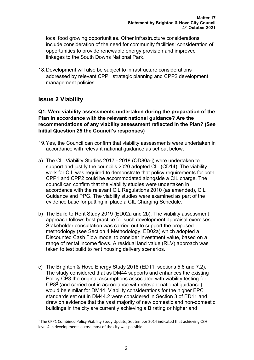local food growing opportunities. Other infrastructure considerations include consideration of the need for community facilities; consideration of opportunities to provide renewable energy provision and improved linkages to the South Downs National Park.

18.Development will also be subject to infrastructure considerations addressed by relevant CPP1 strategic planning and CPP2 development management policies.

### **Issue 2 Viability**

**Q1. Were viability assessments undertaken during the preparation of the Plan in accordance with the relevant national guidance? Are the recommendations of any viability assessment reflected in the Plan? (See Initial Question 25 the Council's responses)**

- 19.Yes, the Council can confirm that viability assessments were undertaken in accordance with relevant national guidance as set out below:
- a) The CIL Viability Studies 2017 2018 (OD80a-j) were undertaken to support and justify the council's 2020 adopted CIL (CD14). The viability work for CIL was required to demonstrate that policy requirements for both CPP1 and CPP2 could be accommodated alongside a CIL charge. The council can confirm that the viability studies were undertaken in accordance with the relevant CIL Regulations 2010 (as amended), CIL Guidance and PPG. The viability studies were examined as part of the evidence base for putting in place a CIL Charging Schedule.
- b) The Build to Rent Study 2019 (ED02a and 2b). The viability assessment approach follows best practice for such development appraisal exercises. Stakeholder consultation was carried out to support the proposed methodology (see Section 4 Methodology, ED02a) which adopted a Discounted Cash Flow model to consider investment value, based on a range of rental income flows. A residual land value (RLV) approach was taken to test build to rent housing delivery scenarios.
- c) The Brighton & Hove Energy Study 2018 (ED11, sections 5.6 and 7.2). The study considered that as DM44 supports and enhances the existing Policy CP8 the original assumptions associated with viability testing for CP8[2](#page-5-0) (and carried out in accordance with relevant national guidance) would be similar for DM44. Viability considerations for the higher EPC standards set out in DM44.2 were considered in Section 3 of ED11 and drew on evidence that the vast majority of new domestic and non-domestic buildings in the city are currently achieving a B rating or higher and

<span id="page-5-0"></span><sup>&</sup>lt;sup>2</sup> The CPP1 Combined Policy Viability Study Update, September 2014 indicated that achieving CSH level 4 in developments across most of the city was possible.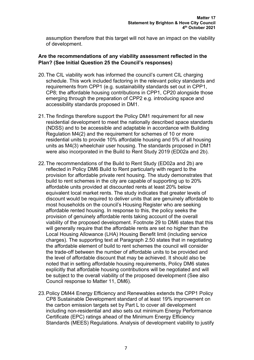assumption therefore that this target will not have an impact on the viability of development.

#### **Are the recommendations of any viability assessment reflected in the Plan? (See Initial Question 25 the Council's responses)**

- 20.The CIL viability work has informed the council's current CIL charging schedule. This work included factoring in the relevant policy standards and requirements from CPP1 (e.g. sustainability standards set out in CPP1, CP8; the affordable housing contributions in CPP1, CP20 alongside those emerging through the preparation of CPP2 e.g. introducing space and accessibility standards proposed in DM1.
- 21.The findings therefore support the Policy DM1 requirement for all new residential development to meet the nationally described space standards (NDSS) and to be accessible and adaptable in accordance with Building Regulation M4(2) and the requirement for schemes of 10 or more residential units to provide 10% affordable housing and 5% of all housing units as M4(3) wheelchair user housing. The standards proposed in DM1 were also incorporated in the Build to Rent Study 2019 (ED02a and 2b).
- 22.The recommendations of the Build to Rent Study (ED02a and 2b) are reflected in Policy DM6 Build to Rent particularly with regard to the provision for affordable private rent housing. The study demonstrates that build to rent schemes in the city are capable of supporting up to 20% affordable units provided at discounted rents at least 20% below equivalent local market rents. The study indicates that greater levels of discount would be required to deliver units that are genuinely affordable to most households on the council's Housing Register who are seeking affordable rented housing. In response to this, the policy seeks the provision of genuinely affordable rents taking account of the overall viability of the proposed development. Footnote 29 to DM6 states that this will generally require that the affordable rents are set no higher than the Local Housing Allowance (LHA) Housing Benefit limit (including service charges). The supporting text at Paragraph 2.50 states that in negotiating the affordable element of build to rent schemes the council will consider the trade-off between the number of affordable units to be provided and the level of affordable discount that may be achieved. It should also be noted that in setting affordable housing requirements, Policy DM6 states explicitly that affordable housing contributions will be negotiated and will be subject to the overall viability of the proposed development (See also Council response to Matter 11, DM6).
- 23.Policy DM44 Energy Efficiency and Renewables extends the CPP1 Policy CP8 Sustainable Development standard of at least 19% improvement on the carbon emission targets set by Part L to cover all development including non-residential and also sets out minimum Energy Performance Certificate (EPC) ratings ahead of the Minimum Energy Efficiency Standards (MEES) Regulations. Analysis of development viability to justify